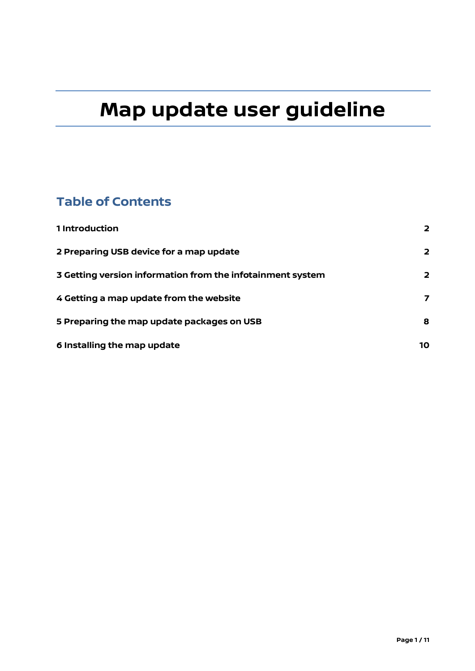# **Map update user guideline**

### **Table of Contents**

| 1 Introduction                                             | $\overline{\mathbf{2}}$ |
|------------------------------------------------------------|-------------------------|
| 2 Preparing USB device for a map update                    | $\overline{\mathbf{2}}$ |
| 3 Getting version information from the infotainment system | 2                       |
| 4 Getting a map update from the website                    | 7                       |
| 5 Preparing the map update packages on USB                 | 8                       |
| 6 Installing the map update                                | 10                      |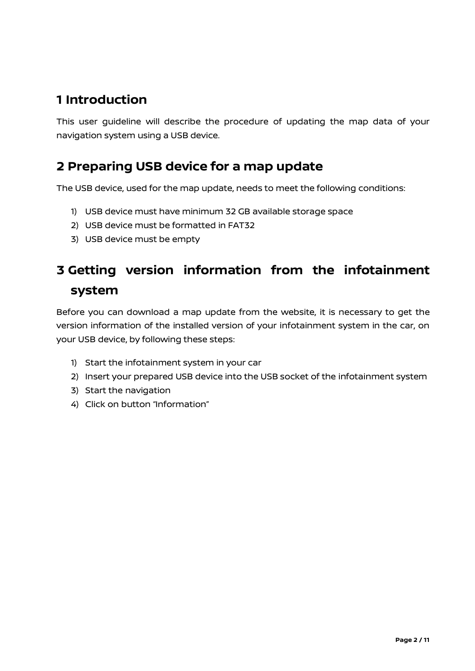### <span id="page-1-0"></span>**1 Introduction**

This user guideline will describe the procedure of updating the map data of your navigation system using a USB device.

### <span id="page-1-1"></span>**2 Preparing USB device for a map update**

The USB device, used for the map update, needs to meet the following conditions:

- 1) USB device must have minimum 32 GB available storage space
- 2) USB device must be formatted in FAT32
- 3) USB device must be empty

## <span id="page-1-2"></span>**3 Getting version information from the infotainment system**

Before you can download a map update from the website, it is necessary to get the version information of the installed version of your infotainment system in the car, on your USB device, by following these steps:

- 1) Start the infotainment system in your car
- 2) Insert your prepared USB device into the USB socket of the infotainment system
- 3) Start the navigation
- 4) Click on button "Information"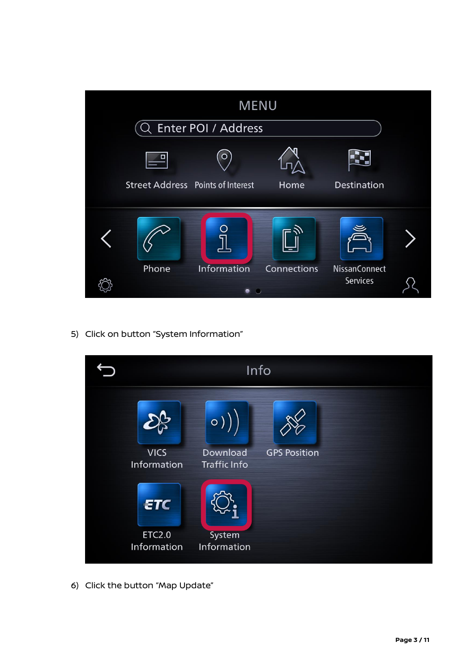|                                          | <b>MENU</b>                     |             |                                  |  |
|------------------------------------------|---------------------------------|-------------|----------------------------------|--|
|                                          | Enter POI / Address             |             |                                  |  |
|                                          | $\circ$                         |             |                                  |  |
| <b>Street Address</b> Points of Interest |                                 | Home        | Destination                      |  |
|                                          |                                 |             |                                  |  |
|                                          |                                 |             |                                  |  |
| Phone                                    | Information<br>$\bullet$<br>- 0 | Connections | <b>NissanConnect</b><br>Services |  |

5) Click on button "System Information"



6) Click the button "Map Update"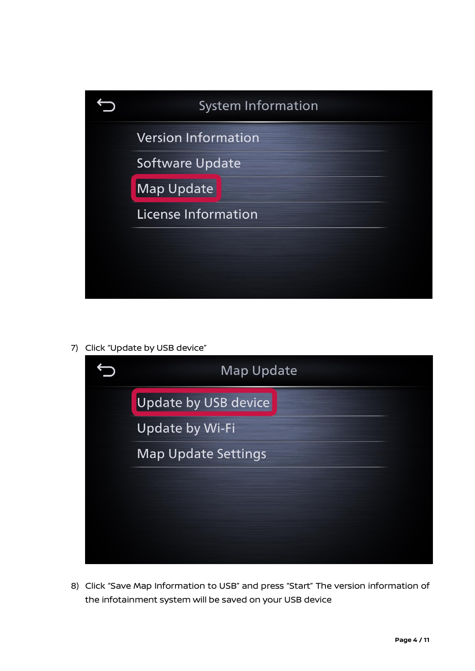

7) Click "Update by USB device"



8) Click "Save Map Information to USB" and press "Start" The version information of the infotainment system will be saved on your USB device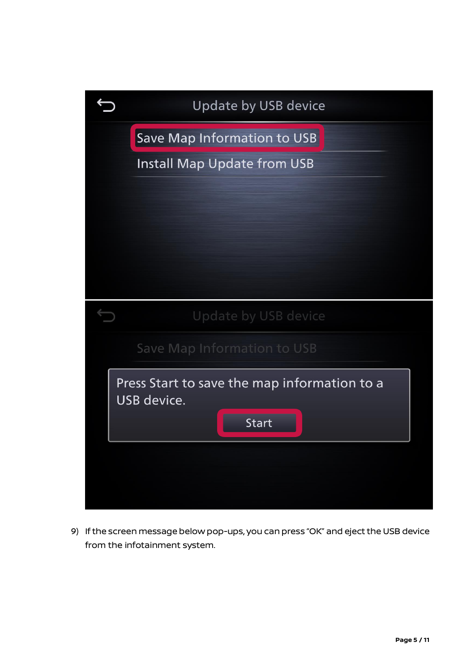| Update by USB device                                        |  |  |  |
|-------------------------------------------------------------|--|--|--|
| Save Map Information to USB                                 |  |  |  |
| <b>Install Map Update from USB</b>                          |  |  |  |
|                                                             |  |  |  |
|                                                             |  |  |  |
|                                                             |  |  |  |
|                                                             |  |  |  |
|                                                             |  |  |  |
| Update by USB device                                        |  |  |  |
| Save Map Information to USB                                 |  |  |  |
|                                                             |  |  |  |
| Press Start to save the map information to a<br>USB device. |  |  |  |
| <b>Start</b>                                                |  |  |  |
|                                                             |  |  |  |
|                                                             |  |  |  |

9) If the screen message below pop-ups, you can press "OK" and eject the USB device from the infotainment system.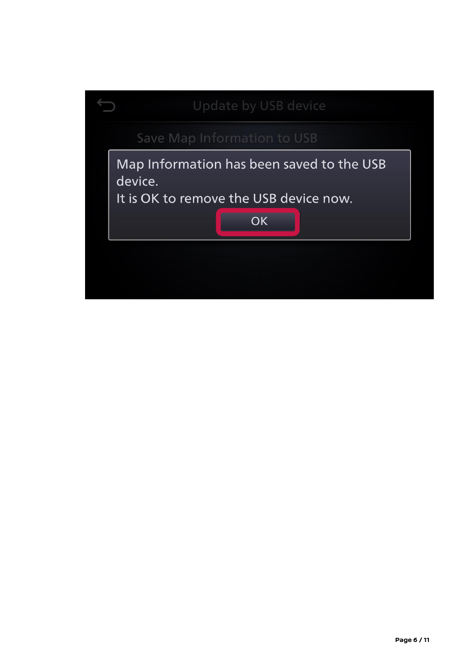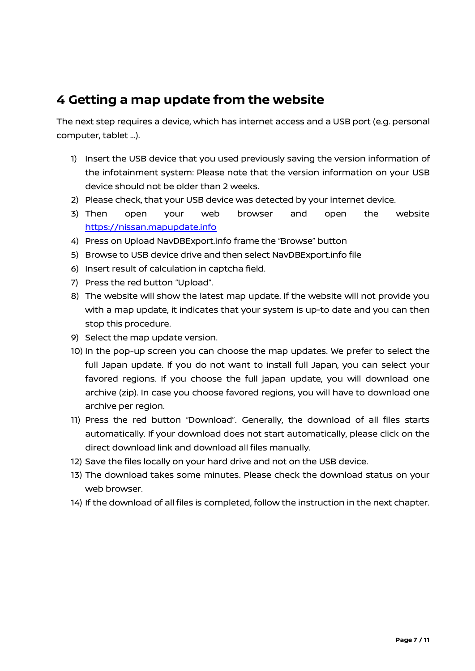### <span id="page-6-0"></span>**4 Getting a map update from the website**

The next step requires a device, which has internet access and a USB port (e.g. personal computer, tablet …).

- 1) Insert the USB device that you used previously saving the version information of the infotainment system: Please note that the version information on your USB device should not be older than 2 weeks.
- 2) Please check, that your USB device was detected by your internet device.
- 3) Then open your web browser and open the website [https://nissan.mapupdate.info](https://nissan.mapupdate.info/)
- 4) Press on Upload NavDBExport.info frame the "Browse" button
- 5) Browse to USB device drive and then select NavDBExport.info file
- 6) Insert result of calculation in captcha field.
- 7) Press the red button "Upload".
- 8) The website will show the latest map update. If the website will not provide you with a map update, it indicates that your system is up-to date and you can then stop this procedure.
- 9) Select the map update version.
- 10) In the pop-up screen you can choose the map updates. We prefer to select the full Japan update. If you do not want to install full Japan, you can select your favored regions. If you choose the full japan update, you will download one archive (zip). In case you choose favored regions, you will have to download one archive per region.
- 11) Press the red button "Download". Generally, the download of all files starts automatically. If your download does not start automatically, please click on the direct download link and download all files manually.
- 12) Save the files locally on your hard drive and not on the USB device.
- 13) The download takes some minutes. Please check the download status on your web browser.
- 14) If the download of all files is completed, follow the instruction in the next chapter.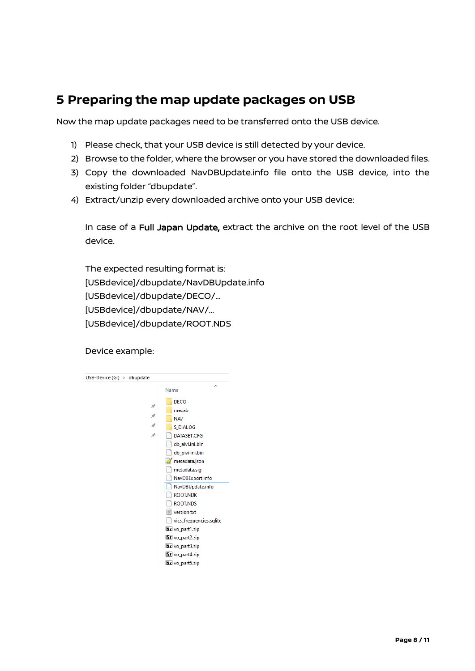### <span id="page-7-0"></span>**5 Preparing the map update packages on USB**

Now the map update packages need to be transferred onto the USB device.

- 1) Please check, that your USB device is still detected by your device.
- 2) Browse to the folder, where the browser or you have stored the downloaded files.
- 3) Copy the downloaded NavDBUpdate.info file onto the USB device, into the existing folder "dbupdate".
- 4) Extract/unzip every downloaded archive onto your USB device:

In case of a Full Japan Update, extract the archive on the root level of the USB device.

The expected resulting format is: [USBdevice]/dbupdate/NavDBUpdate.info [USBdevice]/dbupdate/DECO/… [USBdevice]/dbupdate/NAV/… [USBdevice]/dbupdate/ROOT.NDS

Device example:

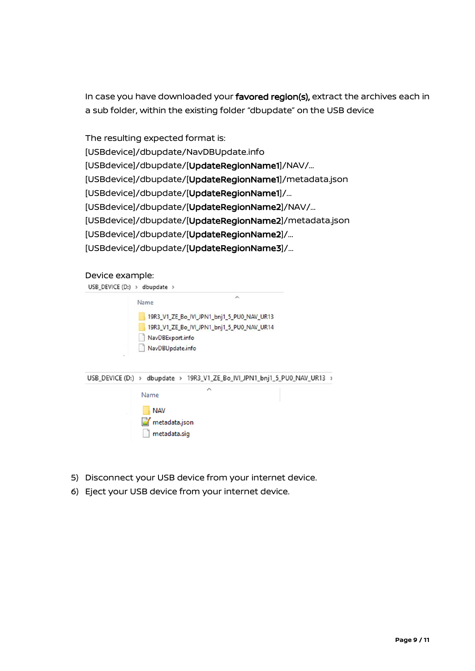In case you have downloaded your favored region(s), extract the archives each in a sub folder, within the existing folder "dbupdate" on the USB device

The resulting expected format is: [USBdevice]/dbupdate/NavDBUpdate.info [USBdevice]/dbupdate/[UpdateRegionName1]/NAV/… [USBdevice]/dbupdate/[UpdateRegionName1]/metadata.json [USBdevice]/dbupdate/[UpdateRegionName1]/… [USBdevice]/dbupdate/[UpdateRegionName2]/NAV/… [USBdevice]/dbupdate/[UpdateRegionName2]/metadata.json [USBdevice]/dbupdate/[UpdateRegionName2]/… [USBdevice]/dbupdate/[UpdateRegionName3]/…

#### Device example:

| USB_DEVICE (D:) $\rightarrow$ dbupdate $\rightarrow$ |                                                                           |                                                                                          |          |  |
|------------------------------------------------------|---------------------------------------------------------------------------|------------------------------------------------------------------------------------------|----------|--|
|                                                      | Name                                                                      |                                                                                          | $\wedge$ |  |
| $\overline{\phantom{a}}$                             | NavDBExport.info<br>NavDBUpdate.info                                      | 19R3_V1_ZE_Bo_IVI_JPN1_bnj1_5_PU0_NAV_UR13<br>19R3_V1_ZE_Bo_IVI_JPN1_bnj1_5_PU0_NAV_UR14 |          |  |
|                                                      | USB_DEVICE (D:) > dbupdate > 19R3_V1_ZE_Bo_IVI_JPN1_bnj1_5_PU0_NAV_UR13 > |                                                                                          |          |  |
|                                                      | Name                                                                      | ㅅ                                                                                        |          |  |



- 5) Disconnect your USB device from your internet device.
- <span id="page-8-0"></span>6) Eject your USB device from your internet device.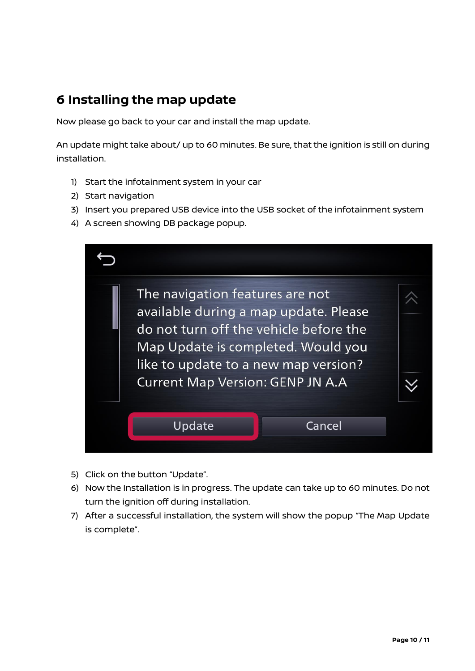### **6 Installing the map update**

Now please go back to your car and install the map update.

An update might take about/ up to 60 minutes. Be sure, that the ignition is still on during installation.

- 1) Start the infotainment system in your car
- 2) Start navigation
- 3) Insert you prepared USB device into the USB socket of the infotainment system
- 4) A screen showing DB package popup.

| The navigation features are not<br>available during a map update. Please<br>do not turn off the vehicle before the<br>Map Update is completed. Would you<br>like to update to a new map version?<br><b>Current Map Version: GENP JN A.A</b> |        |  |
|---------------------------------------------------------------------------------------------------------------------------------------------------------------------------------------------------------------------------------------------|--------|--|
| Update                                                                                                                                                                                                                                      | Cancel |  |

- 5) Click on the button "Update".
- 6) Now the Installation is in progress. The update can take up to 60 minutes. Do not turn the ignition off during installation.
- 7) After a successful installation, the system will show the popup "The Map Update is complete".